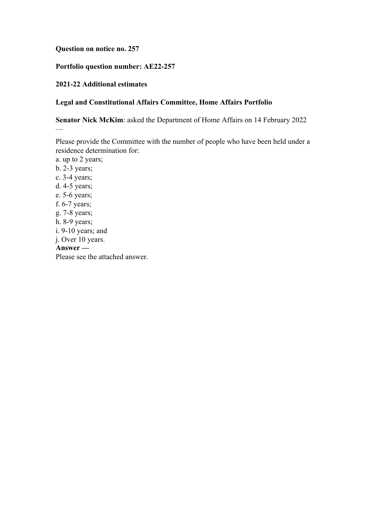### **Question on notice no. 257**

# **Portfolio question number: AE22-257**

### **2021-22 Additional estimates**

 $\overline{\phantom{0}}$ 

## **Legal and Constitutional Affairs Committee, Home Affairs Portfolio**

**Senator Nick McKim**: asked the Department of Home Affairs on 14 February 2022

Please provide the Committee with the number of people who have been held under a residence determination for:

a. up to 2 years; b. 2-3 years; c. 3-4 years; d. 4-5 years; e. 5-6 years; f. 6-7 years; g. 7-8 years; h. 8-9 years; i. 9-10 years; and j. Over 10 years. **Answer —** Please see the attached answer.